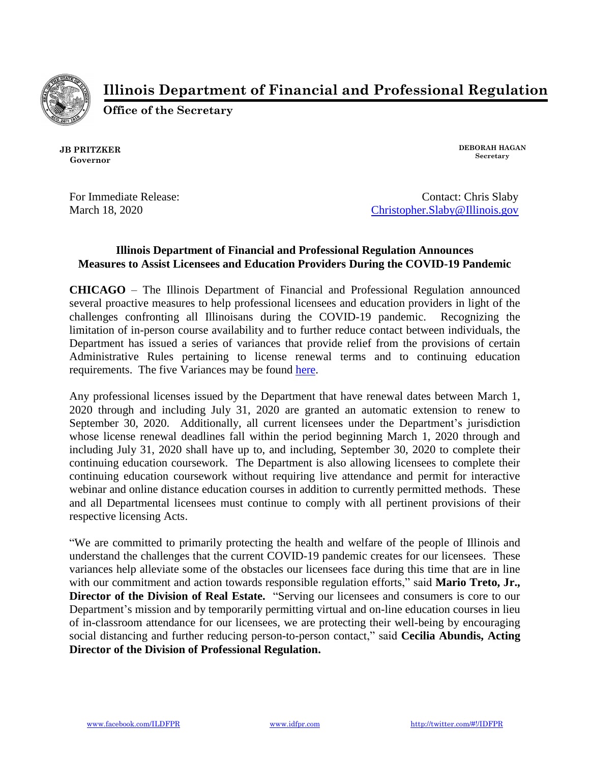

**Illinois Department of Financial and Professional Regulation**

**Office of the Secretary**

**JB PRITZKER Governor**

**DEBORAH HAGAN Secretary**

For Immediate Release: Contact: Chris Slaby March 18, 2020 [Christopher.Slaby@Illinois.gov](mailto:Christopher.Slaby@Illinois.gov)

## **Illinois Department of Financial and Professional Regulation Announces Measures to Assist Licensees and Education Providers During the COVID-19 Pandemic**

**CHICAGO** – The Illinois Department of Financial and Professional Regulation announced several proactive measures to help professional licensees and education providers in light of the challenges confronting all Illinoisans during the COVID-19 pandemic. Recognizing the limitation of in-person course availability and to further reduce contact between individuals, the Department has issued a series of variances that provide relief from the provisions of certain Administrative Rules pertaining to license renewal terms and to continuing education requirements. The five Variances may be found [here.](https://www.idfpr.com/forms/DRE/IDFPR%20Variances_Combined.pdf)

Any professional licenses issued by the Department that have renewal dates between March 1, 2020 through and including July 31, 2020 are granted an automatic extension to renew to September 30, 2020. Additionally, all current licensees under the Department's jurisdiction whose license renewal deadlines fall within the period beginning March 1, 2020 through and including July 31, 2020 shall have up to, and including, September 30, 2020 to complete their continuing education coursework. The Department is also allowing licensees to complete their continuing education coursework without requiring live attendance and permit for interactive webinar and online distance education courses in addition to currently permitted methods. These and all Departmental licensees must continue to comply with all pertinent provisions of their respective licensing Acts.

"We are committed to primarily protecting the health and welfare of the people of Illinois and understand the challenges that the current COVID-19 pandemic creates for our licensees. These variances help alleviate some of the obstacles our licensees face during this time that are in line with our commitment and action towards responsible regulation efforts," said **Mario Treto, Jr., Director of the Division of Real Estate.** "Serving our licensees and consumers is core to our Department's mission and by temporarily permitting virtual and on-line education courses in lieu of in-classroom attendance for our licensees, we are protecting their well-being by encouraging social distancing and further reducing person-to-person contact," said **Cecilia Abundis, Acting Director of the Division of Professional Regulation.**